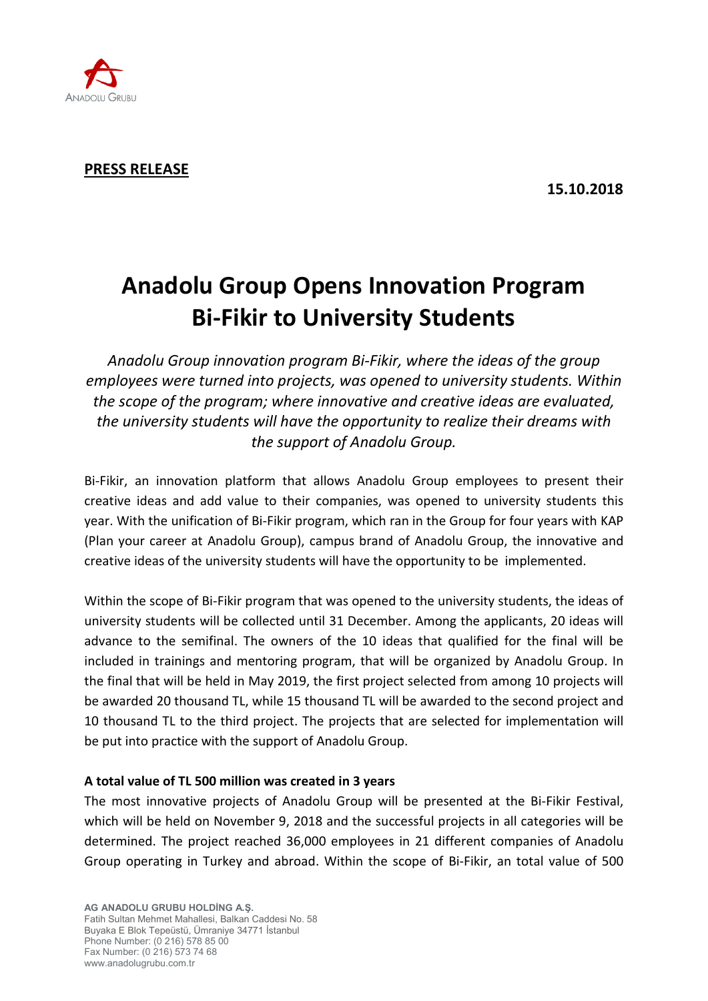

## **PRESS RELEASE**

# **Anadolu Group Opens Innovation Program Bi-Fikir to University Students**

*Anadolu Group innovation program Bi-Fikir, where the ideas of the group employees were turned into projects, was opened to university students. Within the scope of the program; where innovative and creative ideas are evaluated, the university students will have the opportunity to realize their dreams with the support of Anadolu Group.*

Bi-Fikir, an innovation platform that allows Anadolu Group employees to present their creative ideas and add value to their companies, was opened to university students this year. With the unification of Bi-Fikir program, which ran in the Group for four years with KAP (Plan your career at Anadolu Group), campus brand of Anadolu Group, the innovative and creative ideas of the university students will have the opportunity to be implemented.

Within the scope of Bi-Fikir program that was opened to the university students, the ideas of university students will be collected until 31 December. Among the applicants, 20 ideas will advance to the semifinal. The owners of the 10 ideas that qualified for the final will be included in trainings and mentoring program, that will be organized by Anadolu Group. In the final that will be held in May 2019, the first project selected from among 10 projects will be awarded 20 thousand TL, while 15 thousand TL will be awarded to the second project and 10 thousand TL to the third project. The projects that are selected for implementation will be put into practice with the support of Anadolu Group.

### **A total value of TL 500 million was created in 3 years**

The most innovative projects of Anadolu Group will be presented at the Bi-Fikir Festival, which will be held on November 9, 2018 and the successful projects in all categories will be determined. The project reached 36,000 employees in 21 different companies of Anadolu Group operating in Turkey and abroad. Within the scope of Bi-Fikir, an total value of 500